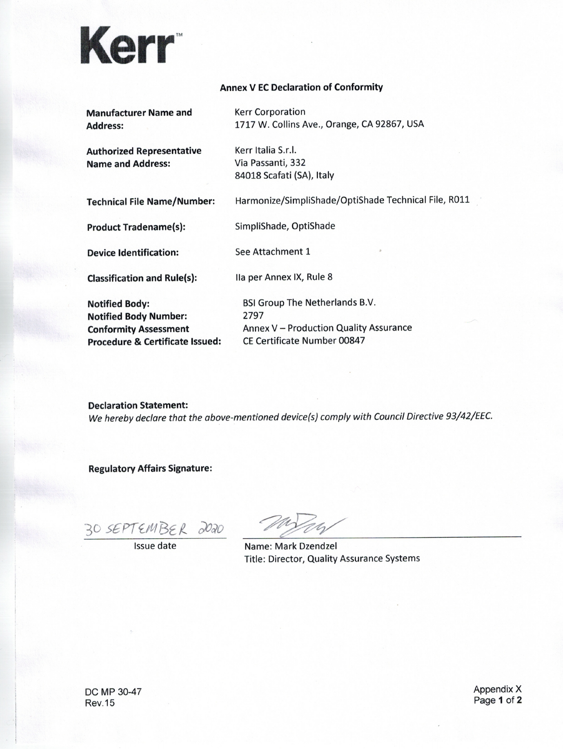

## **Annex V EC Declaration of Conformity**

| <b>Manufacturer Name and</b>               | <b>Kerr Corporation</b>                              |
|--------------------------------------------|------------------------------------------------------|
| <b>Address:</b>                            | 1717 W. Collins Ave., Orange, CA 92867, USA          |
| <b>Authorized Representative</b>           | Kerr Italia S.r.l.                                   |
| <b>Name and Address:</b>                   | Via Passanti, 332                                    |
|                                            | 84018 Scafati (SA), Italy                            |
| <b>Technical File Name/Number:</b>         | Harmonize/SimpliShade/OptiShade Technical File, R011 |
| <b>Product Tradename(s):</b>               | SimpliShade, OptiShade                               |
| <b>Device Identification:</b>              | See Attachment 1                                     |
| <b>Classification and Rule(s):</b>         | Ila per Annex IX, Rule 8                             |
| <b>Notified Body:</b>                      | <b>BSI Group The Netherlands B.V.</b>                |
| <b>Notified Body Number:</b>               | 2797                                                 |
| <b>Conformity Assessment</b>               | Annex V - Production Quality Assurance               |
| <b>Procedure &amp; Certificate Issued:</b> | CE Certificate Number 00847                          |
|                                            |                                                      |

**Declaration Statement:** We hereby declare that the above-mentioned device(s) comply with Council Directive 93/42/EEC.

**Regulatory Affairs Signature:** 

30 SEPTEMBER 2020

76

Name: Mark Dzendzel Title: Director, Quality Assurance Systems

Appendix X Page 1 of 2